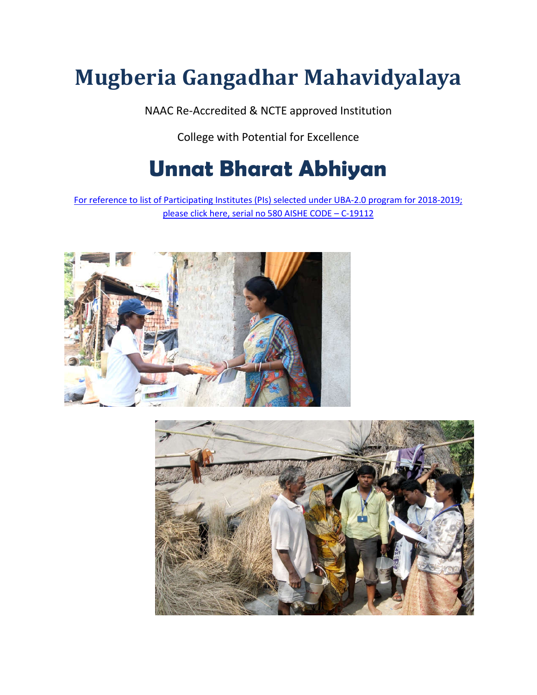# **Mugberia Gangadhar Mahavidyalaya**

NAAC Re-Accredited & NCTE approved Institution

College with Potential for Excellence

## **Unnat Bharat Abhiyan**

For reference to [list of Participating Institutes \(PIs\) selected under UBA-2.0 program for 2018-2019;](http://unnat.iitd.ac.in/app/webroot/files/First list of Participating Institutes selected under UBA-2.0 program  for 2018-2019.pdf) [please click here, serial no 580 AISHE CODE –](http://unnat.iitd.ac.in/app/webroot/files/First list of Participating Institutes selected under UBA-2.0 program  for 2018-2019.pdf) C-19112



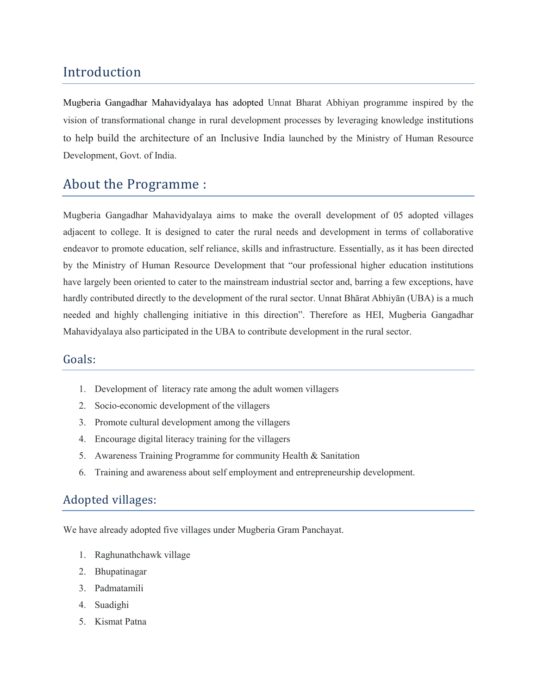## Introduction

Mugberia Gangadhar Mahavidyalaya has adopted Unnat Bharat Abhiyan programme inspired by the vision of transformational change in rural development processes by leveraging knowledge institutions to help build the architecture of an Inclusive India launched by the Ministry of Human Resource Development, Govt. of India.

## About the Programme :

Mugberia Gangadhar Mahavidyalaya aims to make the overall development of 05 adopted villages adjacent to college. It is designed to cater the rural needs and development in terms of collaborative endeavor to promote education, self reliance, skills and infrastructure. Essentially, as it has been directed by the Ministry of Human Resource Development that "our professional higher education institutions have largely been oriented to cater to the mainstream industrial sector and, barring a few exceptions, have hardly contributed directly to the development of the rural sector. Unnat Bhārat Abhiyān (UBA) is a much needed and highly challenging initiative in this direction". Therefore as HEI, Mugberia Gangadhar Mahavidyalaya also participated in the UBA to contribute development in the rural sector.

#### Goals:

- 1. Development of literacy rate among the adult women villagers
- 2. Socio-economic development of the villagers
- 3. Promote cultural development among the villagers
- 4. Encourage digital literacy training for the villagers
- 5. Awareness Training Programme for community Health & Sanitation
- 6. Training and awareness about self employment and entrepreneurship development.

#### Adopted villages:

We have already adopted five villages under Mugberia Gram Panchayat.

- 1. Raghunathchawk village
- 2. Bhupatinagar
- 3. Padmatamili
- 4. Suadighi
- 5. Kismat Patna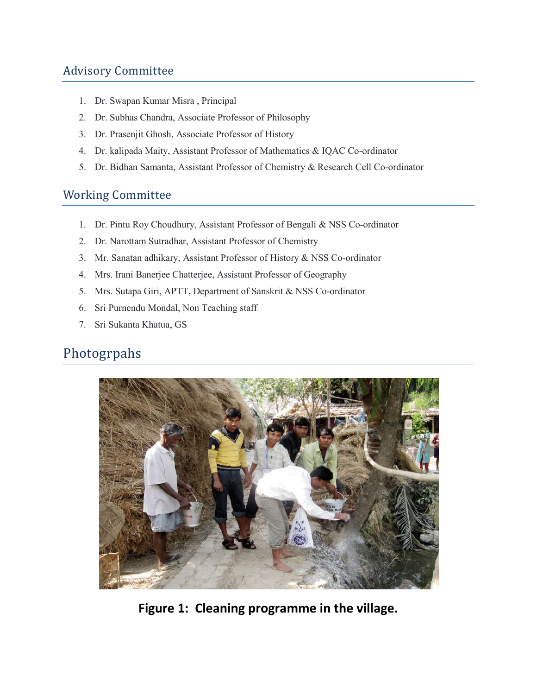## Advisory Committee

- 1. Dr. Swapan Kumar Misra , Principal
- 2. Dr. Subhas Chandra, Associate Professor of Philosophy
- 3. Dr. Prasenjit Ghosh, Associate Professor of History
- 4. Dr. kalipada Maity, Assistant Professor of Mathematics & IQAC Co-ordinator
- 5. Dr. Bidhan Samanta, Assistant Professor of Chemistry & Research Cell Co-ordinator

### Working Committee

- 1. Dr. Pintu Roy Choudhury, Assistant Professor of Bengali & NSS Co-ordinator
- 2. Dr. Narottam Sutradhar, Assistant Professor of Chemistry
- 3. Mr. Sanatan adhikary, Assistant Professor of History & NSS Co-ordinator
- 4. Mrs. Irani Banerjee Chatterjee, Assistant Professor of Geography
- 5. Mrs. Sutapa Giri, APTT, Department of Sanskrit & NSS Co-ordinator
- 6. Sri Purnendu Mondal, Non Teaching staff
- 7. Sri Sukanta Khatua, GS

## Photogrpahs



**Figure 1: Cleaning programme in the village.**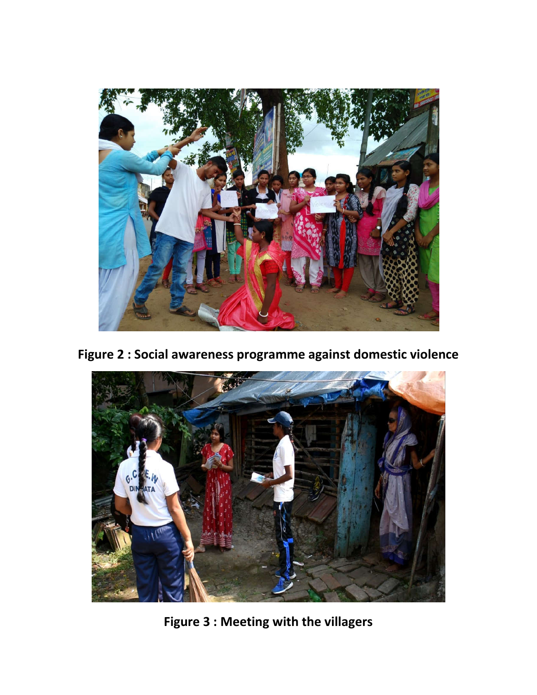

**Figure 2 : Social awareness programme against domestic violence**



**Figure 3 : Meeting with the villagers**